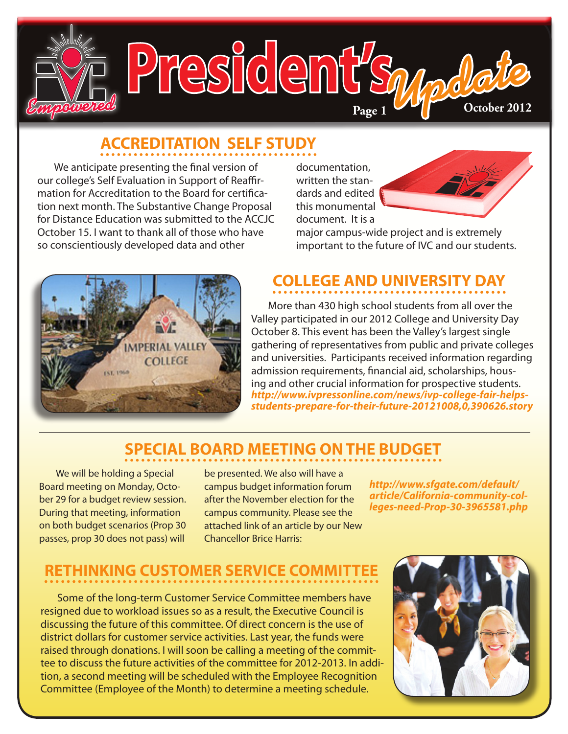

# **ACCREDITATION SELF STUDY**

We anticipate presenting the final version of our college's Self Evaluation in Support of Reaffirmation for Accreditation to the Board for certification next month. The Substantive Change Proposal for Distance Education was submitted to the ACCJC October 15. I want to thank all of those who have so conscientiously developed data and other

documentation, written the standards and edited this monumental document. It is a



major campus-wide project and is extremely important to the future of IVC and our students.



# **COLLEGE AND UNIVERSITY DAY**

More than 430 high school students from all over the Valley participated in our 2012 College and University Day October 8. This event has been the Valley's largest single gathering of representatives from public and private colleges and universities. Participants received information regarding admission requirements, financial aid, scholarships, housing and other crucial information for prospective students. *[http://www.ivpressonline.com/news/ivp-college-fair-helps](http://www.ivpressonline.com/news/ivp-college-fair-helps-students-prepare-for-their-future-20121008,0,390626.story)[students-prepare-for-their-future-20121008,0,390626.story](http://www.ivpressonline.com/news/ivp-college-fair-helps-students-prepare-for-their-future-20121008,0,390626.story)*

#### **SPECIAL BOARD MEETING ON THE BUDGET**

We will be holding a Special Board meeting on Monday, October 29 for a budget review session. During that meeting, information on both budget scenarios (Prop 30 passes, prop 30 does not pass) will

be presented. We also will have a campus budget information forum after the November election for the campus community. Please see the attached link of an article by our New Chancellor Brice Harris:

*[http://www.sfgate.com/default/](http://www.sfgate.com/default/article/California-community-colleges-need-Prop-30-3965581.php) [article/California-community-col](http://www.sfgate.com/default/article/California-community-colleges-need-Prop-30-3965581.php)[leges-need-Prop-30-3965581.php](http://www.sfgate.com/default/article/California-community-colleges-need-Prop-30-3965581.php)*

#### RETHINKING CUSTOMER SERVICE CON

Some of the long-term Customer Service Committee members have resigned due to workload issues so as a result, the Executive Council is discussing the future of this committee. Of direct concern is the use of district dollars for customer service activities. Last year, the funds were raised through donations. I will soon be calling a meeting of the committee to discuss the future activities of the committee for 2012-2013. In addition, a second meeting will be scheduled with the Employee Recognition Committee (Employee of the Month) to determine a meeting schedule.